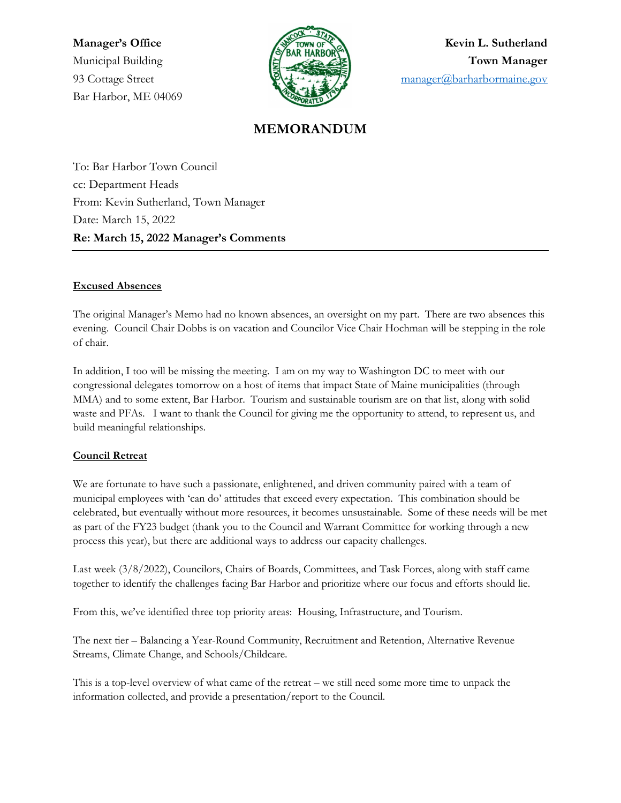Bar Harbor, ME 04069



Manager's Office Weight A TOWN OF A TOWN OF A Kevin L. Sutherland Municipal Building and the state of the state of the state of the Town Manager 93 Cottage Street manager@barharbormaine.gov

# MEMORANDUM

To: Bar Harbor Town Council cc: Department Heads From: Kevin Sutherland, Town Manager Date: March 15, 2022 Re: March 15, 2022 Manager's Comments

#### Excused Absences

The original Manager's Memo had no known absences, an oversight on my part. There are two absences this evening. Council Chair Dobbs is on vacation and Councilor Vice Chair Hochman will be stepping in the role of chair.

In addition, I too will be missing the meeting. I am on my way to Washington DC to meet with our congressional delegates tomorrow on a host of items that impact State of Maine municipalities (through MMA) and to some extent, Bar Harbor. Tourism and sustainable tourism are on that list, along with solid waste and PFAs. I want to thank the Council for giving me the opportunity to attend, to represent us, and build meaningful relationships.

#### Council Retreat

We are fortunate to have such a passionate, enlightened, and driven community paired with a team of municipal employees with 'can do' attitudes that exceed every expectation. This combination should be celebrated, but eventually without more resources, it becomes unsustainable. Some of these needs will be met as part of the FY23 budget (thank you to the Council and Warrant Committee for working through a new process this year), but there are additional ways to address our capacity challenges.

Last week (3/8/2022), Councilors, Chairs of Boards, Committees, and Task Forces, along with staff came together to identify the challenges facing Bar Harbor and prioritize where our focus and efforts should lie.

From this, we've identified three top priority areas: Housing, Infrastructure, and Tourism.

The next tier – Balancing a Year-Round Community, Recruitment and Retention, Alternative Revenue Streams, Climate Change, and Schools/Childcare.

This is a top-level overview of what came of the retreat – we still need some more time to unpack the information collected, and provide a presentation/report to the Council.